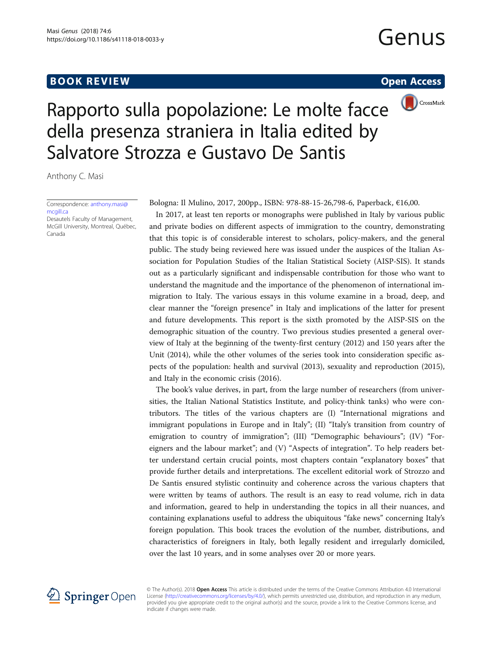## **BOOK REVIEW CONTROL** BOOK REVIEW

# Genus



## Rapporto sulla popolazione: Le molte facce della presenza straniera in Italia edited by Salvatore Strozza e Gustavo De Santis

Anthony C. Masi

Correspondence: [anthony.masi@](mailto:anthony.masi@mcgill.ca) [mcgill.ca](mailto:anthony.masi@mcgill.ca) Desautels Faculty of Management,

McGill University, Montreal, Québec, Canada

Bologna: Il Mulino, 2017, 200pp., ISBN: 978-88-15-26,798-6, Paperback, €16,00.

In 2017, at least ten reports or monographs were published in Italy by various public and private bodies on different aspects of immigration to the country, demonstrating that this topic is of considerable interest to scholars, policy-makers, and the general public. The study being reviewed here was issued under the auspices of the Italian Association for Population Studies of the Italian Statistical Society (AISP-SIS). It stands out as a particularly significant and indispensable contribution for those who want to understand the magnitude and the importance of the phenomenon of international immigration to Italy. The various essays in this volume examine in a broad, deep, and clear manner the "foreign presence" in Italy and implications of the latter for present and future developments. This report is the sixth promoted by the AISP-SIS on the demographic situation of the country. Two previous studies presented a general overview of Italy at the beginning of the twenty-first century (2012) and 150 years after the Unit (2014), while the other volumes of the series took into consideration specific aspects of the population: health and survival (2013), sexuality and reproduction (2015), and Italy in the economic crisis (2016).

The book's value derives, in part, from the large number of researchers (from universities, the Italian National Statistics Institute, and policy-think tanks) who were contributors. The titles of the various chapters are (I) "International migrations and immigrant populations in Europe and in Italy"; (II) "Italy's transition from country of emigration to country of immigration"; (III) "Demographic behaviours"; (IV) "Foreigners and the labour market"; and (V) "Aspects of integration". To help readers better understand certain crucial points, most chapters contain "explanatory boxes" that provide further details and interpretations. The excellent editorial work of Strozzo and De Santis ensured stylistic continuity and coherence across the various chapters that were written by teams of authors. The result is an easy to read volume, rich in data and information, geared to help in understanding the topics in all their nuances, and containing explanations useful to address the ubiquitous "fake news" concerning Italy's foreign population. This book traces the evolution of the number, distributions, and characteristics of foreigners in Italy, both legally resident and irregularly domiciled, over the last 10 years, and in some analyses over 20 or more years.



© The Author(s). 2018 Open Access This article is distributed under the terms of the Creative Commons Attribution 4.0 International License [\(http://creativecommons.org/licenses/by/4.0/](http://creativecommons.org/licenses/by/4.0/)), which permits unrestricted use, distribution, and reproduction in any medium, provided you give appropriate credit to the original author(s) and the source, provide a link to the Creative Commons license, and indicate if changes were made.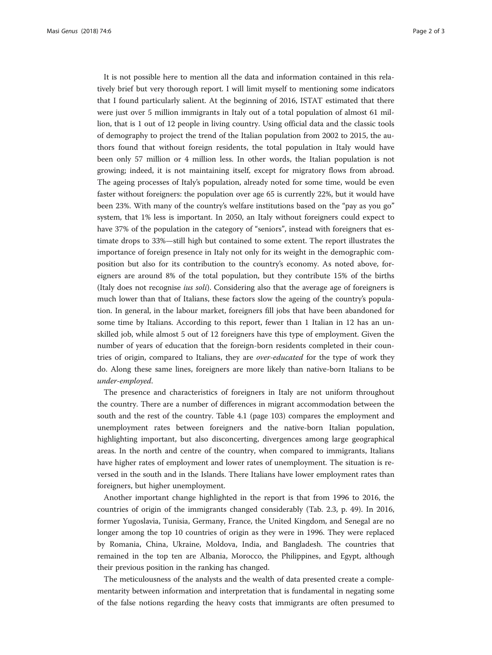It is not possible here to mention all the data and information contained in this relatively brief but very thorough report. I will limit myself to mentioning some indicators that I found particularly salient. At the beginning of 2016, ISTAT estimated that there were just over 5 million immigrants in Italy out of a total population of almost 61 million, that is 1 out of 12 people in living country. Using official data and the classic tools of demography to project the trend of the Italian population from 2002 to 2015, the authors found that without foreign residents, the total population in Italy would have been only 57 million or 4 million less. In other words, the Italian population is not growing; indeed, it is not maintaining itself, except for migratory flows from abroad. The ageing processes of Italy's population, already noted for some time, would be even faster without foreigners: the population over age 65 is currently 22%, but it would have been 23%. With many of the country's welfare institutions based on the "pay as you go" system, that 1% less is important. In 2050, an Italy without foreigners could expect to have 37% of the population in the category of "seniors", instead with foreigners that estimate drops to 33%—still high but contained to some extent. The report illustrates the importance of foreign presence in Italy not only for its weight in the demographic composition but also for its contribution to the country's economy. As noted above, foreigners are around 8% of the total population, but they contribute 15% of the births (Italy does not recognise ius soli). Considering also that the average age of foreigners is much lower than that of Italians, these factors slow the ageing of the country's population. In general, in the labour market, foreigners fill jobs that have been abandoned for some time by Italians. According to this report, fewer than 1 Italian in 12 has an unskilled job, while almost 5 out of 12 foreigners have this type of employment. Given the number of years of education that the foreign-born residents completed in their countries of origin, compared to Italians, they are over-educated for the type of work they do. Along these same lines, foreigners are more likely than native-born Italians to be under-employed.

The presence and characteristics of foreigners in Italy are not uniform throughout the country. There are a number of differences in migrant accommodation between the south and the rest of the country. Table 4.1 (page 103) compares the employment and unemployment rates between foreigners and the native-born Italian population, highlighting important, but also disconcerting, divergences among large geographical areas. In the north and centre of the country, when compared to immigrants, Italians have higher rates of employment and lower rates of unemployment. The situation is reversed in the south and in the Islands. There Italians have lower employment rates than foreigners, but higher unemployment.

Another important change highlighted in the report is that from 1996 to 2016, the countries of origin of the immigrants changed considerably (Tab. 2.3, p. 49). In 2016, former Yugoslavia, Tunisia, Germany, France, the United Kingdom, and Senegal are no longer among the top 10 countries of origin as they were in 1996. They were replaced by Romania, China, Ukraine, Moldova, India, and Bangladesh. The countries that remained in the top ten are Albania, Morocco, the Philippines, and Egypt, although their previous position in the ranking has changed.

The meticulousness of the analysts and the wealth of data presented create a complementarity between information and interpretation that is fundamental in negating some of the false notions regarding the heavy costs that immigrants are often presumed to